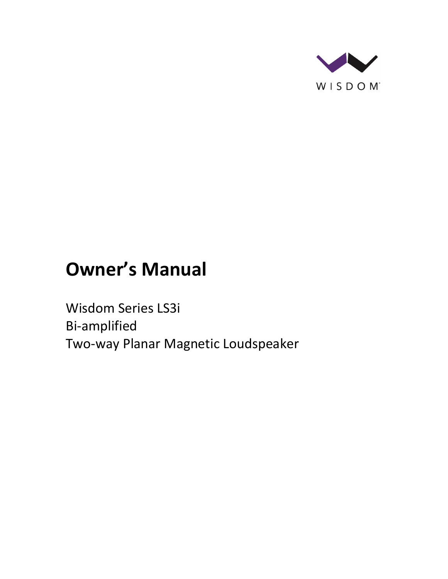

# **Owner's Manual**

Wisdom Series LS3i Bi-amplified Two-way Planar Magnetic Loudspeaker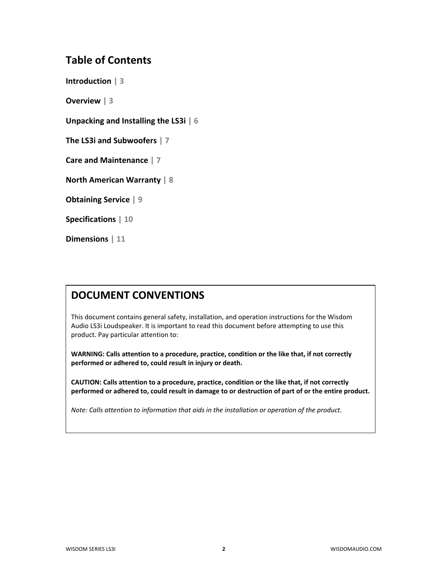## **Table of Contents**

**Introduction | 3**

**Overview | 3**

**Unpacking and Installing the LS3i | 6**

**The LS3i and Subwoofers | 7**

**Care and Maintenance | 7**

**North American Warranty | 8**

**Obtaining Service | 9**

**Specifications | 10**

**Dimensions | 11**

## **DOCUMENT CONVENTIONS**

This document contains general safety, installation, and operation instructions for the Wisdom Audio LS3i Loudspeaker. It is important to read this document before attempting to use this product. Pay particular attention to:

**WARNING: Calls attention to a procedure, practice, condition or the like that, if not correctly performed or adhered to, could result in injury or death.** 

**CAUTION: Calls attention to a procedure, practice, condition or the like that, if not correctly performed or adhered to, could result in damage to or destruction of part of or the entire product.** 

*Note: Calls attention to information that aids in the installation or operation of the product.*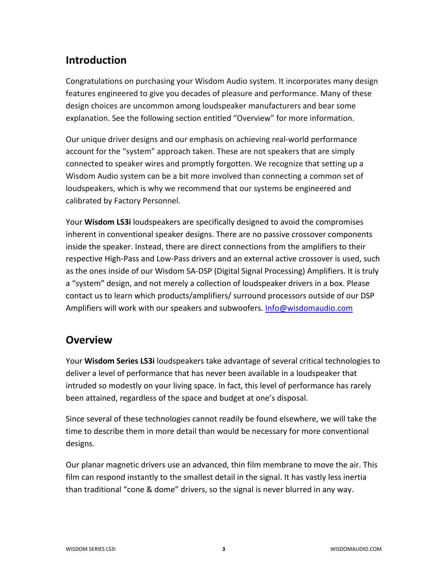## **Introduction**

Congratulations on purchasing your Wisdom Audio system. It incorporates many design features engineered to give you decades of pleasure and performance. Many of these design choices are uncommon among loudspeaker manufacturers and bear some explanation. See the following section entitled "Overview" for more information.

Our unique driver designs and our emphasis on achieving real-world performance account for the "system" approach taken. These are not speakers that are simply connected to speaker wires and promptly forgotten. We recognize that setting up a Wisdom Audio system can be a bit more involved than connecting a common set of loudspeakers, which is why we recommend that our systems be engineered and calibrated by Factory Personnel.

Your **Wisdom LS3i** loudspeakers are specifically designed to avoid the compromises inherent in conventional speaker designs. There are no passive crossover components inside the speaker. Instead, there are direct connections from the amplifiers to their respective High-Pass and Low-Pass drivers and an external active crossover is used, such as the ones inside of our Wisdom SA-DSP (Digital Signal Processing) Amplifiers. It is truly a "system" design, and not merely a collection of loudspeaker drivers in a box. Please contact us to learn which products/amplifiers/ surround processors outside of our DSP Amplifiers will work with our speakers and subwoofers. [Info@wisdomaudio.com](mailto:Info@wisdomaudio.com)

## **Overview**

Your **Wisdom Series LS3i** loudspeakers take advantage of several critical technologies to deliver a level of performance that has never been available in a loudspeaker that intruded so modestly on your living space. In fact, this level of performance has rarely been attained, regardless of the space and budget at one's disposal.

Since several of these technologies cannot readily be found elsewhere, we will take the time to describe them in more detail than would be necessary for more conventional designs.

Our planar magnetic drivers use an advanced, thin film membrane to move the air. This film can respond instantly to the smallest detail in the signal. It has vastly less inertia than traditional "cone & dome" drivers, so the signal is never blurred in any way.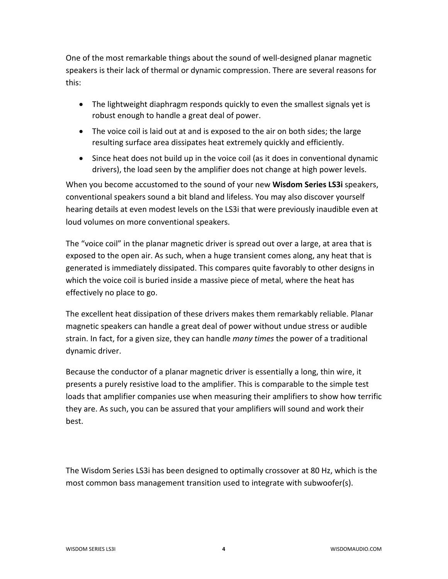One of the most remarkable things about the sound of well-designed planar magnetic speakers is their lack of thermal or dynamic compression. There are several reasons for this:

- The lightweight diaphragm responds quickly to even the smallest signals yet is robust enough to handle a great deal of power.
- The voice coil is laid out at and is exposed to the air on both sides; the large resulting surface area dissipates heat extremely quickly and efficiently.
- Since heat does not build up in the voice coil (as it does in conventional dynamic drivers), the load seen by the amplifier does not change at high power levels.

When you become accustomed to the sound of your new **Wisdom Series LS3i** speakers, conventional speakers sound a bit bland and lifeless. You may also discover yourself hearing details at even modest levels on the LS3i that were previously inaudible even at loud volumes on more conventional speakers.

The "voice coil" in the planar magnetic driver is spread out over a large, at area that is exposed to the open air. As such, when a huge transient comes along, any heat that is generated is immediately dissipated. This compares quite favorably to other designs in which the voice coil is buried inside a massive piece of metal, where the heat has effectively no place to go.

The excellent heat dissipation of these drivers makes them remarkably reliable. Planar magnetic speakers can handle a great deal of power without undue stress or audible strain. In fact, for a given size, they can handle *many times* the power of a traditional dynamic driver.

Because the conductor of a planar magnetic driver is essentially a long, thin wire, it presents a purely resistive load to the amplifier. This is comparable to the simple test loads that amplifier companies use when measuring their amplifiers to show how terrific they are. As such, you can be assured that your amplifiers will sound and work their best.

The Wisdom Series LS3i has been designed to optimally crossover at 80 Hz, which is the most common bass management transition used to integrate with subwoofer(s).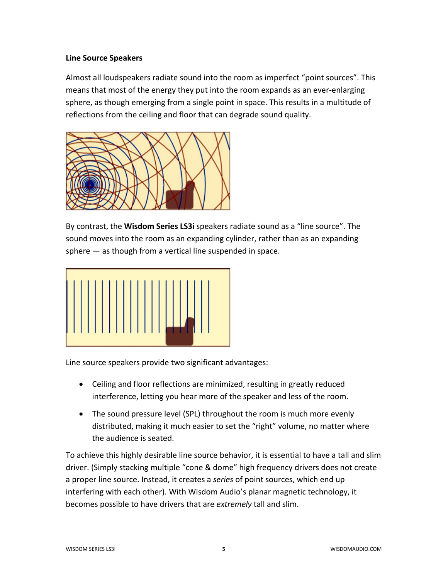#### **Line Source Speakers**

Almost all loudspeakers radiate sound into the room as imperfect "point sources". This means that most of the energy they put into the room expands as an ever-enlarging sphere, as though emerging from a single point in space. This results in a multitude of reflections from the ceiling and floor that can degrade sound quality.



By contrast, the **Wisdom Series LS3i** speakers radiate sound as a "line source". The sound moves into the room as an expanding cylinder, rather than as an expanding sphere — as though from a vertical line suspended in space.



Line source speakers provide two significant advantages:

- Ceiling and floor reflections are minimized, resulting in greatly reduced interference, letting you hear more of the speaker and less of the room.
- The sound pressure level (SPL) throughout the room is much more evenly distributed, making it much easier to set the "right" volume, no matter where the audience is seated.

To achieve this highly desirable line source behavior, it is essential to have a tall and slim driver. (Simply stacking multiple "cone & dome" high frequency drivers does not create a proper line source. Instead, it creates a *series* of point sources, which end up interfering with each other). With Wisdom Audio's planar magnetic technology, it becomes possible to have drivers that are *extremely* tall and slim.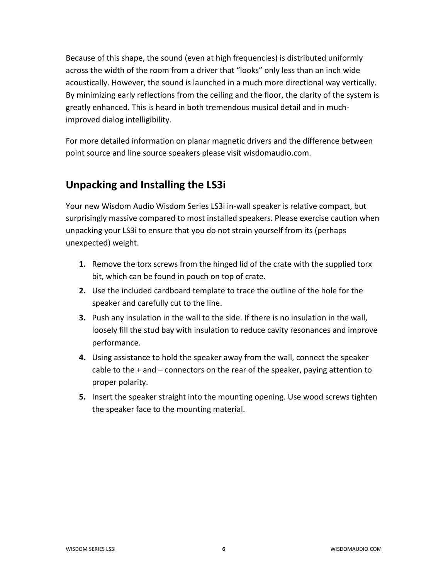Because of this shape, the sound (even at high frequencies) is distributed uniformly across the width of the room from a driver that "looks" only less than an inch wide acoustically. However, the sound is launched in a much more directional way vertically. By minimizing early reflections from the ceiling and the floor, the clarity of the system is greatly enhanced. This is heard in both tremendous musical detail and in muchimproved dialog intelligibility.

For more detailed information on planar magnetic drivers and the difference between point source and line source speakers please visit wisdomaudio.com.

## **Unpacking and Installing the LS3i**

Your new Wisdom Audio Wisdom Series LS3i in-wall speaker is relative compact, but surprisingly massive compared to most installed speakers. Please exercise caution when unpacking your LS3i to ensure that you do not strain yourself from its (perhaps unexpected) weight.

- **1.** Remove the torx screws from the hinged lid of the crate with the supplied torx bit, which can be found in pouch on top of crate.
- **2.** Use the included cardboard template to trace the outline of the hole for the speaker and carefully cut to the line.
- **3.** Push any insulation in the wall to the side. If there is no insulation in the wall, loosely fill the stud bay with insulation to reduce cavity resonances and improve performance.
- **4.** Using assistance to hold the speaker away from the wall, connect the speaker cable to the + and – connectors on the rear of the speaker, paying attention to proper polarity.
- **5.** Insert the speaker straight into the mounting opening. Use wood screws tighten the speaker face to the mounting material.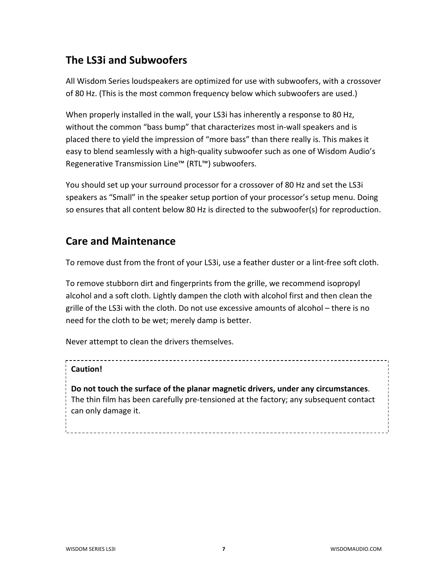## **The LS3i and Subwoofers**

All Wisdom Series loudspeakers are optimized for use with subwoofers, with a crossover of 80 Hz. (This is the most common frequency below which subwoofers are used.)

When properly installed in the wall, your LS3i has inherently a response to 80 Hz, without the common "bass bump" that characterizes most in-wall speakers and is placed there to yield the impression of "more bass" than there really is. This makes it easy to blend seamlessly with a high-quality subwoofer such as one of Wisdom Audio's Regenerative Transmission Line™ (RTL™) subwoofers.

You should set up your surround processor for a crossover of 80 Hz and set the LS3i speakers as "Small" in the speaker setup portion of your processor's setup menu. Doing so ensures that all content below 80 Hz is directed to the subwoofer(s) for reproduction.

## **Care and Maintenance**

To remove dust from the front of your LS3i, use a feather duster or a lint-free soft cloth.

To remove stubborn dirt and fingerprints from the grille, we recommend isopropyl alcohol and a soft cloth. Lightly dampen the cloth with alcohol first and then clean the grille of the LS3i with the cloth. Do not use excessive amounts of alcohol – there is no need for the cloth to be wet; merely damp is better.

Never attempt to clean the drivers themselves.

## **Caution!**

**Do not touch the surface of the planar magnetic drivers, under any circumstances**. The thin film has been carefully pre-tensioned at the factory; any subsequent contact can only damage it.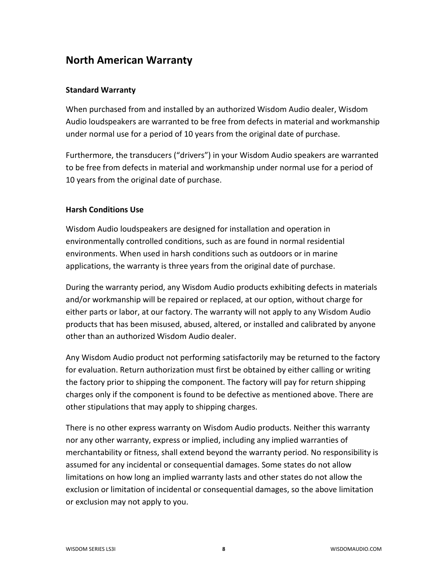## **North American Warranty**

### **Standard Warranty**

When purchased from and installed by an authorized Wisdom Audio dealer, Wisdom Audio loudspeakers are warranted to be free from defects in material and workmanship under normal use for a period of 10 years from the original date of purchase.

Furthermore, the transducers ("drivers") in your Wisdom Audio speakers are warranted to be free from defects in material and workmanship under normal use for a period of 10 years from the original date of purchase.

### **Harsh Conditions Use**

Wisdom Audio loudspeakers are designed for installation and operation in environmentally controlled conditions, such as are found in normal residential environments. When used in harsh conditions such as outdoors or in marine applications, the warranty is three years from the original date of purchase.

During the warranty period, any Wisdom Audio products exhibiting defects in materials and/or workmanship will be repaired or replaced, at our option, without charge for either parts or labor, at our factory. The warranty will not apply to any Wisdom Audio products that has been misused, abused, altered, or installed and calibrated by anyone other than an authorized Wisdom Audio dealer.

Any Wisdom Audio product not performing satisfactorily may be returned to the factory for evaluation. Return authorization must first be obtained by either calling or writing the factory prior to shipping the component. The factory will pay for return shipping charges only if the component is found to be defective as mentioned above. There are other stipulations that may apply to shipping charges.

There is no other express warranty on Wisdom Audio products. Neither this warranty nor any other warranty, express or implied, including any implied warranties of merchantability or fitness, shall extend beyond the warranty period. No responsibility is assumed for any incidental or consequential damages. Some states do not allow limitations on how long an implied warranty lasts and other states do not allow the exclusion or limitation of incidental or consequential damages, so the above limitation or exclusion may not apply to you.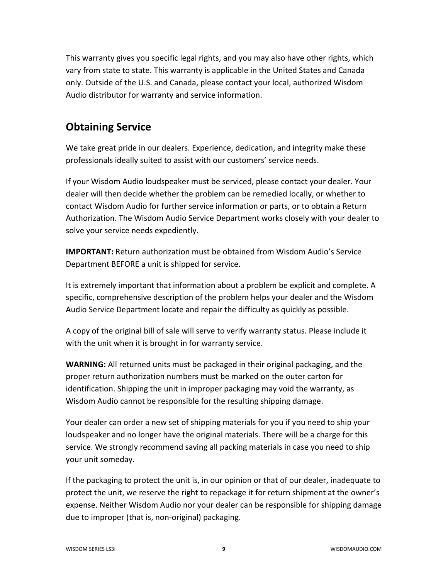This warranty gives you specific legal rights, and you may also have other rights, which vary from state to state. This warranty is applicable in the United States and Canada only. Outside of the U.S. and Canada, please contact your local, authorized Wisdom Audio distributor for warranty and service information.

## **Obtaining Service**

We take great pride in our dealers. Experience, dedication, and integrity make these professionals ideally suited to assist with our customers' service needs.

If your Wisdom Audio loudspeaker must be serviced, please contact your dealer. Your dealer will then decide whether the problem can be remedied locally, or whether to contact Wisdom Audio for further service information or parts, or to obtain a Return Authorization. The Wisdom Audio Service Department works closely with your dealer to solve your service needs expediently.

**IMPORTANT:** Return authorization must be obtained from Wisdom Audio's Service Department BEFORE a unit is shipped for service.

It is extremely important that information about a problem be explicit and complete. A specific, comprehensive description of the problem helps your dealer and the Wisdom Audio Service Department locate and repair the difficulty as quickly as possible.

A copy of the original bill of sale will serve to verify warranty status. Please include it with the unit when it is brought in for warranty service.

**WARNING:** All returned units must be packaged in their original packaging, and the proper return authorization numbers must be marked on the outer carton for identification. Shipping the unit in improper packaging may void the warranty, as Wisdom Audio cannot be responsible for the resulting shipping damage.

Your dealer can order a new set of shipping materials for you if you need to ship your loudspeaker and no longer have the original materials. There will be a charge for this service. We strongly recommend saving all packing materials in case you need to ship your unit someday.

If the packaging to protect the unit is, in our opinion or that of our dealer, inadequate to protect the unit, we reserve the right to repackage it for return shipment at the owner's expense. Neither Wisdom Audio nor your dealer can be responsible for shipping damage due to improper (that is, non-original) packaging.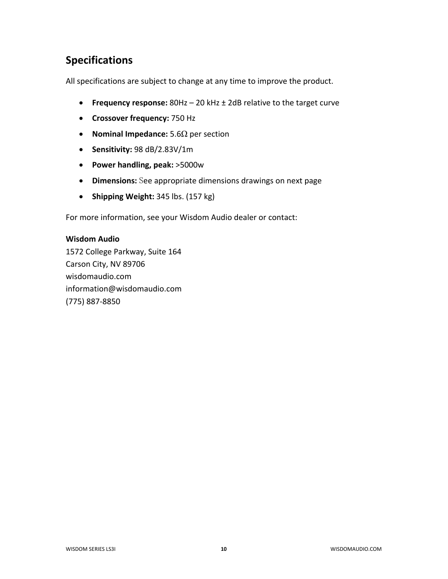# **Specifications**

All specifications are subject to change at any time to improve the product.

- **Frequency response:** 80Hz 20 kHz ± 2dB relative to the target curve
- **Crossover frequency:** 750 Hz
- **Nominal Impedance:** 5.6Ω per section
- **Sensitivity:** 98 dB/2.83V/1m
- **Power handling, peak:** >5000w
- **Dimensions:** See appropriate dimensions drawings on next page
- **Shipping Weight:** 345 lbs. (157 kg)

For more information, see your Wisdom Audio dealer or contact:

#### **Wisdom Audio**

1572 College Parkway, Suite 164 Carson City, NV 89706 wisdomaudio.com information@wisdomaudio.com (775) 887-8850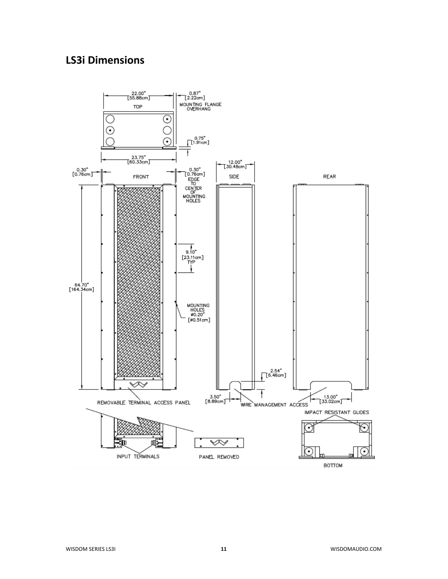## **LS3i Dimensions**